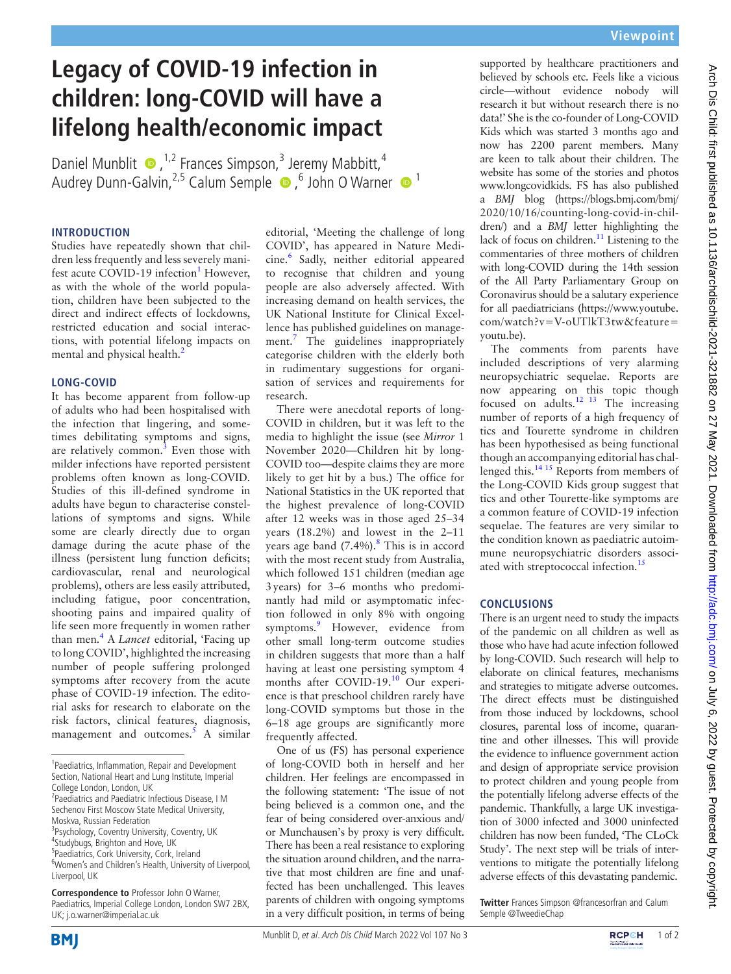# **Legacy of COVID-19 infection in children: long-COVID will have a lifelong health/economic impact**

Daniel Munblit  $\bullet$ , <sup>1,2</sup> Frances Simpson,<sup>3</sup> Jeremy Mabbitt, <sup>4</sup> Audrey Dunn-Galvin, <sup>2,5</sup> Calum Semple <sup>1</sup> bohn O Warner <sup>1</sup>

## **INTRODUCTION**

Studies have repeatedly shown that children less frequently and less severely mani-fest acute COVID-[1](#page-1-0)9 infection<sup>1</sup> However, as with the whole of the world population, children have been subjected to the direct and indirect effects of lockdowns, restricted education and social interactions, with potential lifelong impacts on mental and physical health.<sup>2</sup>

## **LONG-COVID**

It has become apparent from follow-up of adults who had been hospitalised with the infection that lingering, and sometimes debilitating symptoms and signs, are relatively common.<sup>[3](#page-1-2)</sup> Even those with milder infections have reported persistent problems often known as long-COVID. Studies of this ill-defined syndrome in adults have begun to characterise constellations of symptoms and signs. While some are clearly directly due to organ damage during the acute phase of the illness (persistent lung function deficits; cardiovascular, renal and neurological problems), others are less easily attributed, including fatigue, poor concentration, shooting pains and impaired quality of life seen more frequently in women rather than men.[4](#page-1-3) A *Lancet* editorial, 'Facing up to long COVID', highlighted the increasing number of people suffering prolonged symptoms after recovery from the acute phase of COVID-19 infection. The editorial asks for research to elaborate on the risk factors, clinical features, diagnosis, management and outcomes. $5$  A similar editorial, 'Meeting the challenge of long COVID', has appeared in Nature Medicine.[6](#page-1-5) Sadly, neither editorial appeared to recognise that children and young people are also adversely affected. With increasing demand on health services, the UK National Institute for Clinical Excellence has published guidelines on manage-ment.<sup>[7](#page-1-6)</sup> The guidelines inappropriately categorise children with the elderly both in rudimentary suggestions for organisation of services and requirements for research.

There were anecdotal reports of long-COVID in children, but it was left to the media to highlight the issue (see *Mirror* 1 November 2020—Children hit by long-COVID too—despite claims they are more likely to get hit by a bus.) The office for National Statistics in the UK reported that the highest prevalence of long-COVID after 12 weeks was in those aged 25–34 years (18.2%) and lowest in the 2–11 years age band (7.4%).<sup>[8](#page-1-7)</sup> This is in accord with the most recent study from Australia, which followed 151 children (median age 3years) for 3–6 months who predominantly had mild or asymptomatic infection followed in only 8% with ongoing symptoms.<sup>[9](#page-1-8)</sup> However, evidence from other small long-term outcome studies in children suggests that more than a half having at least one persisting symptom 4 months after COVID-19.<sup>10</sup> Our experience is that preschool children rarely have long-COVID symptoms but those in the 6–18 age groups are significantly more frequently affected.

One of us (FS) has personal experience of long-COVID both in herself and her children. Her feelings are encompassed in the following statement: 'The issue of not being believed is a common one, and the fear of being considered over-anxious and/ or Munchausen's by proxy is very difficult. There has been a real resistance to exploring the situation around children, and the narrative that most children are fine and unaffected has been unchallenged. This leaves parents of children with ongoing symptoms in a very difficult position, in terms of being

supported by healthcare practitioners and believed by schools etc. Feels like a vicious circle—without evidence nobody will research it but without research there is no data!' She is the co-founder of Long-COVID Kids which was started 3 months ago and now has 2200 parent members. Many are keen to talk about their children. The website has some of the stories and photos www.longcovidkids. FS has also published a *BMJ* blog [\(https://blogs.bmj.com/bmj/](https://blogs.bmj.com/bmj/2020/10/16/counting-long-covid-in-children/) [2020/10/16/counting-long-covid-in-chil](https://blogs.bmj.com/bmj/2020/10/16/counting-long-covid-in-children/)[dren/\)](https://blogs.bmj.com/bmj/2020/10/16/counting-long-covid-in-children/) and a *BMJ* letter highlighting the lack of focus on children.<sup>11</sup> Listening to the commentaries of three mothers of children with long-COVID during the 14th session of the All Party Parliamentary Group on Coronavirus should be a salutary experience for all paediatricians ([https://www.youtube.](https://www.youtube.com/watch?v=V-oUTlkT3tw&feature=youtu.be) [com/watch?v=V-oUTlkT3tw&feature=](https://www.youtube.com/watch?v=V-oUTlkT3tw&feature=youtu.be) [youtu.be](https://www.youtube.com/watch?v=V-oUTlkT3tw&feature=youtu.be)).

The comments from parents have included descriptions of very alarming neuropsychiatric sequelae. Reports are now appearing on this topic though focused on adults.<sup>12</sup> <sup>13</sup> The increasing number of reports of a high frequency of tics and Tourette syndrome in children has been hypothesised as being functional though an accompanying editorial has challenged this.[14 15](#page-1-12) Reports from members of the Long-COVID Kids group suggest that tics and other Tourette-like symptoms are a common feature of COVID-19 infection sequelae. The features are very similar to the condition known as paediatric autoimmune neuropsychiatric disorders associ-ated with streptococcal infection.<sup>[15](#page-1-13)</sup>

# **CONCLUSIONS**

There is an urgent need to study the impacts of the pandemic on all children as well as those who have had acute infection followed by long-COVID. Such research will help to elaborate on clinical features, mechanisms and strategies to mitigate adverse outcomes. The direct effects must be distinguished from those induced by lockdowns, school closures, parental loss of income, quarantine and other illnesses. This will provide the evidence to influence government action and design of appropriate service provision to protect children and young people from the potentially lifelong adverse effects of the pandemic. Thankfully, a large UK investigation of 3000 infected and 3000 uninfected children has now been funded, 'The CLoCk Study'. The next step will be trials of interventions to mitigate the potentially lifelong adverse effects of this devastating pandemic.

**Twitter** Frances Simpson [@francesorfran](https://twitter.com/francesorfran) and Calum Semple [@TweedieChap](https://twitter.com/TweedieChap)





<sup>&</sup>lt;sup>1</sup>Paediatrics, Inflammation, Repair and Development Section, National Heart and Lung Institute, Imperial College London, London, UK

<sup>&</sup>lt;sup>2</sup> Paediatrics and Paediatric Infectious Disease, I M Sechenov First Moscow State Medical University, Moskva, Russian Federation

<sup>&</sup>lt;sup>3</sup>Psychology, Coventry University, Coventry, UK 4 Studybugs, Brighton and Hove, UK

<sup>5</sup> Paediatrics, Cork University, Cork, Ireland

<sup>6</sup> Women's and Children's Health, University of Liverpool, Liverpool, UK

**Correspondence to** Professor John O Warner, Paediatrics, Imperial College London, London SW7 2BX, UK; j.o.warner@imperial.ac.uk